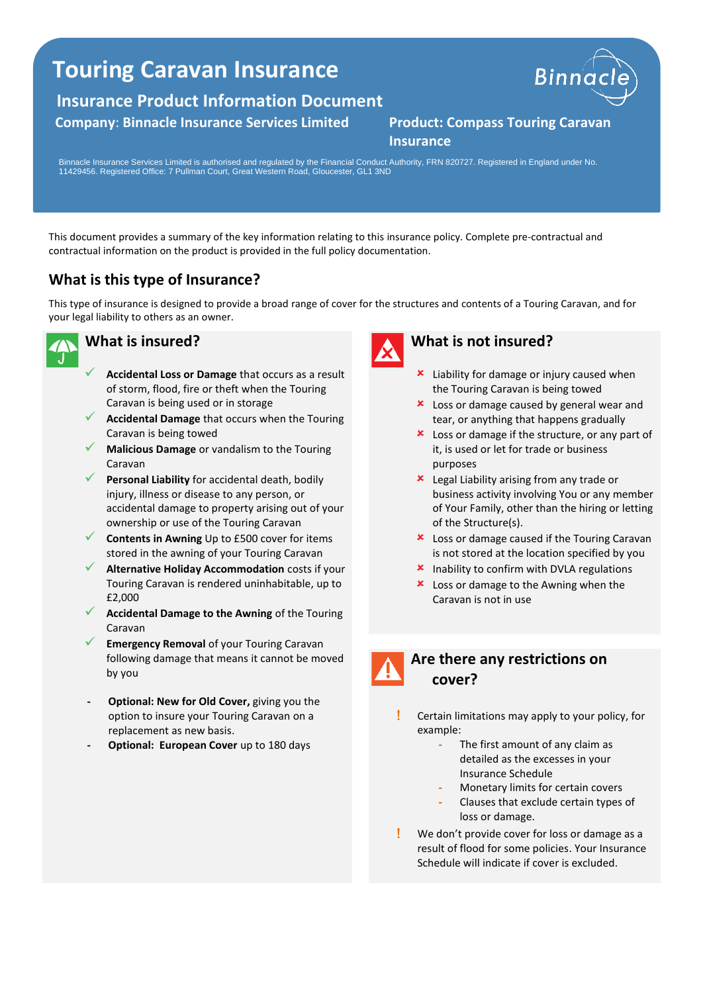## **Touring Caravan Insurance**

**Insurance Product Information Document**

#### **Company**: **Binnacle Insurance Services Limited Product: Compass Touring Caravan**



# **Insurance**

Binnacle Insurance Services Limited is authorised and regulated by the Financial Conduct Authority, FRN 820727. Registered in England under No. 11429456. Registered Office: 7 Pullman Court, Great Western Road, Gloucester, GL1 3ND

This document provides a summary of the key information relating to this insurance policy. Complete pre-contractual and contractual information on the product is provided in the full policy documentation.

### **What is this type of Insurance?**

This type of insurance is designed to provide a broad range of cover for the structures and contents of a Touring Caravan, and for your legal liability to others as an owner.



#### **What is insured?**

- ✓ **Accidental Loss or Damage** that occurs as a result of storm, flood, fire or theft when the Touring Caravan is being used or in storage
- **Accidental Damage** that occurs when the Touring Caravan is being towed
- ✓ **Malicious Damage** or vandalism to the Touring Caravan
- Personal Liability for accidental death, bodily injury, illness or disease to any person, or accidental damage to property arising out of your ownership or use of the Touring Caravan
- **Contents in Awning** Up to £500 cover for items stored in the awning of your Touring Caravan
- **Alternative Holiday Accommodation** costs if your Touring Caravan is rendered uninhabitable, up to £2,000
- ✓ **Accidental Damage to the Awning** of the Touring Caravan
- **Emergency Removal** of your Touring Caravan following damage that means it cannot be moved by you
- **- Optional: New for Old Cover,** giving you the option to insure your Touring Caravan on a replacement as new basis.
- **- Optional: European Cover** up to 180 days



#### **What is not insured?**

- **x** Liability for damage or injury caused when the Touring Caravan is being towed
- **x** Loss or damage caused by general wear and tear, or anything that happens gradually
- $\frac{\text{L}}{\text{L}}$  Loss or damage if the structure, or any part of it, is used or let for trade or business purposes
- **x** Legal Liability arising from any trade or business activity involving You or any member of Your Family, other than the hiring or letting of the Structure(s).
- **x** Loss or damage caused if the Touring Caravan is not stored at the location specified by you
- $\boldsymbol{\mathsf{x}}$  Inability to confirm with DVLA regulations
- **x** Loss or damage to the Awning when the Caravan is not in use



#### **Are there any restrictions on cover?**

- Certain limitations may apply to your policy, for example:
	- **-** The first amount of any claim as detailed as the excesses in your Insurance Schedule
	- **-** Monetary limits for certain covers
	- **-** Clauses that exclude certain types of loss or damage.
- We don't provide cover for loss or damage as a result of flood for some policies. Your Insurance Schedule will indicate if cover is excluded.